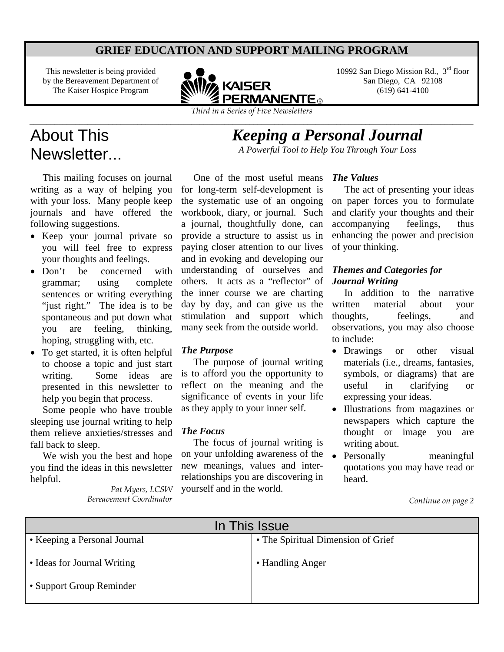## **GRIEF EDUCATION AND SUPPORT MAILING PROGRAM**

This newsletter is being provided by the Bereavement Department of The Kaiser Hospice Program



\_\_\_\_\_\_\_\_\_\_\_\_\_\_\_\_\_\_\_\_\_\_\_\_\_\_\_\_\_\_\_\_\_\_\_\_\_\_\_\_\_\_\_\_\_\_\_\_\_\_\_\_\_\_\_\_\_\_\_\_\_\_\_\_\_\_\_\_\_\_\_\_\_\_\_\_\_\_\_\_\_\_\_\_\_\_\_\_\_\_\_\_\_\_\_\_\_\_\_\_\_\_\_\_\_\_\_

10992 San Diego Mission Rd., 3rd floor San Diego, CA 92108 (619) 641-4100

# About This Newsletter...

 This mailing focuses on journal writing as a way of helping you with your loss. Many people keep journals and have offered the following suggestions.

- Keep your journal private so you will feel free to express your thoughts and feelings.
- Don't be concerned with grammar; using complete sentences or writing everything "just right." The idea is to be spontaneous and put down what you are feeling, thinking, hoping, struggling with, etc.
- To get started, it is often helpful to choose a topic and just start writing. Some ideas are presented in this newsletter to help you begin that process.

 Some people who have trouble sleeping use journal writing to help them relieve anxieties/stresses and fall back to sleep.

 We wish you the best and hope you find the ideas in this newsletter helpful.

> *Pat Myers, LCSW Bereavement Coordinator*

 One of the most useful means for long-term self-development is the systematic use of an ongoing workbook, diary, or journal. Such a journal, thoughtfully done, can provide a structure to assist us in paying closer attention to our lives and in evoking and developing our understanding of ourselves and others. It acts as a "reflector" of the inner course we are charting day by day, and can give us the stimulation and support which many seek from the outside world.

#### *The Purpose*

 The purpose of journal writing is to afford you the opportunity to reflect on the meaning and the significance of events in your life as they apply to your inner self.

## *The Focus*

 The focus of journal writing is on your unfolding awareness of the • Personally meaningful new meanings, values and interrelationships you are discovering in yourself and in the world.

#### *The Values*

*Keeping a Personal Journal A Powerful Tool to Help You Through Your Loss* 

> The act of presenting your ideas on paper forces you to formulate and clarify your thoughts and their accompanying feelings, thus enhancing the power and precision of your thinking.

## *Themes and Categories for Journal Writing*

 In addition to the narrative written material about your thoughts, feelings, and observations, you may also choose to include:

- Drawings or other visual materials (i.e., dreams, fantasies, symbols, or diagrams) that are useful in clarifying or expressing your ideas.
- Illustrations from magazines or newspapers which capture the thought or image you are writing about.
- quotations you may have read or heard.

*Continue on page 2* 

| In This Issue                |                                    |
|------------------------------|------------------------------------|
| • Keeping a Personal Journal | • The Spiritual Dimension of Grief |
| • Ideas for Journal Writing  | • Handling Anger                   |
| • Support Group Reminder     |                                    |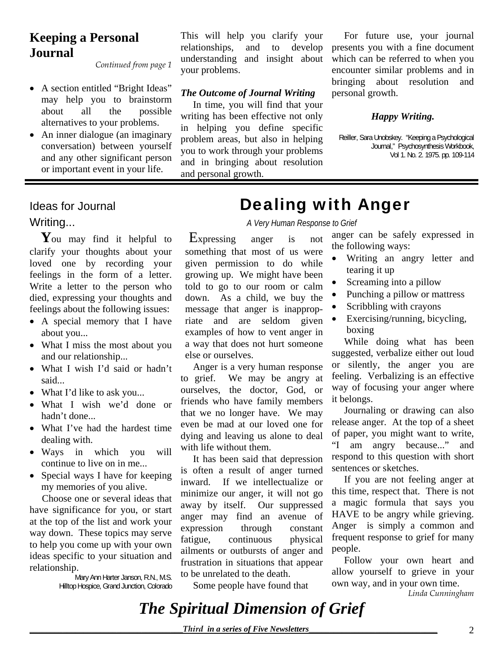# **Keeping a Personal Journal**

*Continued from page 1*

- A section entitled "Bright Ideas" may help you to brainstorm about all the possible alternatives to your problems.
- An inner dialogue (an imaginary conversation) between yourself and any other significant person or important event in your life.

This will help you clarify your relationships, and to develop understanding and insight about your problems.

## *The Outcome of Journal Writing*

 In time, you will find that your writing has been effective not only in helping you define specific problem areas, but also in helping you to work through your problems and in bringing about resolution and personal growth.

 For future use, your journal presents you with a fine document which can be referred to when you encounter similar problems and in bringing about resolution and personal growth.

## *Happy Writing.*

Reiller, Sara Unobskey. "Keeping a Psychological Journal," Psychosynthesis Workbook, Vol 1. No. 2. 1975. pp. 109-114

You may find it helpful to clarify your thoughts about your loved one by recording your feelings in the form of a letter. Write a letter to the person who died, expressing your thoughts and feelings about the following issues:

- A special memory that I have about you...
- What I miss the most about you and our relationship...
- What I wish I'd said or hadn't said...
- What I'd like to ask you...
- What I wish we'd done or hadn't done...
- What I've had the hardest time dealing with.
- Ways in which you will continue to live on in me...
- Special ways I have for keeping my memories of you alive.

 Choose one or several ideas that have significance for you, or start at the top of the list and work your way down. These topics may serve to help you come up with your own ideas specific to your situation and relationship.

> Mary Ann Harter Janson, R.N., M.S. Hilltop Hospice, Grand Junction, Colorado

# Ideas for Journal **Dealing with Anger**

Writing... *A Very Human Response to Grief*

 Expressing anger is not something that most of us were given permission to do while growing up. We might have been told to go to our room or calm down. As a child, we buy the message that anger is inappropriate and are seldom given examples of how to vent anger in a way that does not hurt someone else or ourselves.

 Anger is a very human response to grief. We may be angry at ourselves, the doctor, God, or friends who have family members that we no longer have. We may even be mad at our loved one for dying and leaving us alone to deal with life without them.

 It has been said that depression is often a result of anger turned inward. If we intellectualize or minimize our anger, it will not go away by itself. Our suppressed anger may find an avenue of expression through constant fatigue, continuous physical ailments or outbursts of anger and frustration in situations that appear to be unrelated to the death.

Some people have found that

anger can be safely expressed in the following ways:

- Writing an angry letter and tearing it up
- Screaming into a pillow
- Punching a pillow or mattress
- Scribbling with crayons
- Exercising/running, bicycling, boxing

 While doing what has been suggested, verbalize either out loud or silently, the anger you are feeling. Verbalizing is an effective way of focusing your anger where it belongs.

 Journaling or drawing can also release anger. At the top of a sheet of paper, you might want to write, "I am angry because..." and respond to this question with short sentences or sketches.

 If you are not feeling anger at this time, respect that. There is not a magic formula that says you HAVE to be angry while grieving. Anger is simply a common and frequent response to grief for many people.

 Follow your own heart and allow yourself to grieve in your own way, and in your own time.

*Linda Cunningham*

*The Spiritual Dimension of Grief*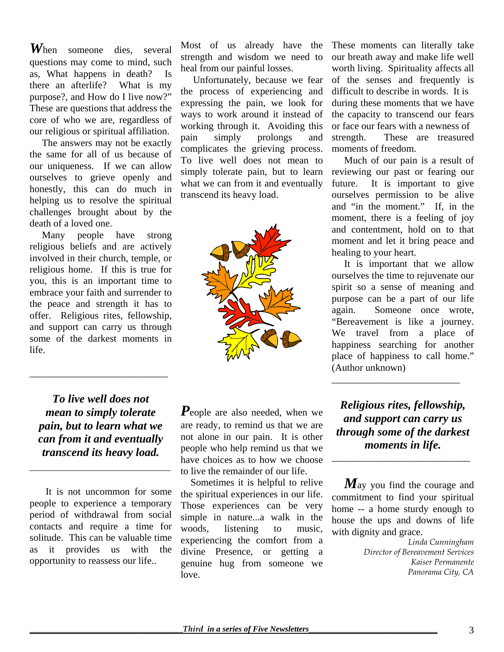*W*hen someone dies, several questions may come to mind, such as, What happens in death? Is there an afterlife? What is my purpose?, and How do I live now?" These are questions that address the core of who we are, regardless of our religious or spiritual affiliation.

 The answers may not be exactly the same for all of us because of our uniqueness. If we can allow ourselves to grieve openly and honestly, this can do much in helping us to resolve the spiritual challenges brought about by the death of a loved one.

 Many people have strong religious beliefs and are actively involved in their church, temple, or religious home. If this is true for you, this is an important time to embrace your faith and surrender to the peace and strength it has to offer. Religious rites, fellowship, and support can carry us through some of the darkest moments in life.

Most of us already have the strength and wisdom we need to heal from our painful losses.

 Unfortunately, because we fear the process of experiencing and expressing the pain, we look for ways to work around it instead of working through it. Avoiding this pain simply prolongs and complicates the grieving process. To live well does not mean to simply tolerate pain, but to learn what we can from it and eventually transcend its heavy load.



*To live well does not mean to simply tolerate pain, but to learn what we can from it and eventually transcend its heavy load.* 

*\_\_\_\_\_\_\_\_\_\_\_\_\_\_\_\_\_\_\_\_\_\_* 

\_\_\_\_\_\_\_\_\_\_\_\_\_\_\_\_\_\_\_\_\_\_\_\_\_\_\_\_

It is not uncommon for some people to experience a temporary period of withdrawal from social contacts and require a time for solitude. This can be valuable time as it provides us with the opportunity to reassess our life..

*P*eople are also needed, when we are ready, to remind us that we are not alone in our pain. It is other people who help remind us that we have choices as to how we choose to live the remainder of our life.

 Sometimes it is helpful to relive the spiritual experiences in our life. Those experiences can be very simple in nature...a walk in the woods, listening to music, experiencing the comfort from a divine Presence, or getting a genuine hug from someone we love.

These moments can literally take our breath away and make life well worth living. Spirituality affects all of the senses and frequently is difficult to describe in words. It is during these moments that we have the capacity to transcend our fears or face our fears with a newness of strength. These are treasured moments of freedom.

 Much of our pain is a result of reviewing our past or fearing our future. It is important to give ourselves permission to be alive and "in the moment." If, in the moment, there is a feeling of joy and contentment, hold on to that moment and let it bring peace and healing to your heart.

 It is important that we allow ourselves the time to rejuvenate our spirit so a sense of meaning and purpose can be a part of our life again. Someone once wrote, "Bereavement is like a journey. We travel from a place of happiness searching for another place of happiness to call home." (Author unknown)

*Religious rites, fellowship, and support can carry us through some of the darkest moments in life.*

\_\_\_\_\_\_\_\_\_\_\_\_\_\_\_\_\_\_\_\_\_\_\_\_\_\_\_\_

\_\_\_\_\_\_\_\_\_\_\_\_\_\_\_\_\_\_\_\_\_\_\_\_\_\_

 *M*ay you find the courage and commitment to find your spiritual home -- a home sturdy enough to house the ups and downs of life with dignity and grace.

> *Linda Cunningham Director of Bereavement Services Kaiser Permanente Panorama City, CA*